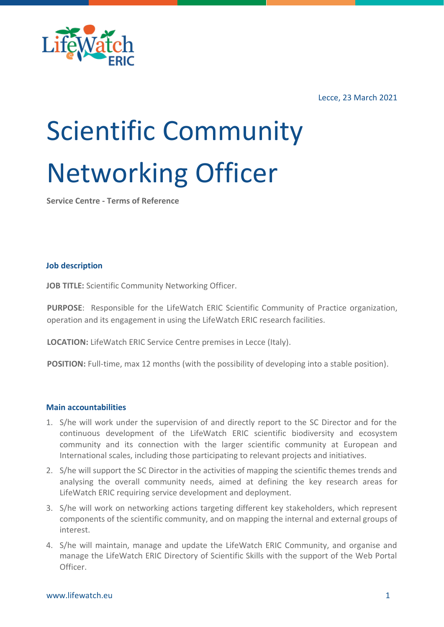

Lecce, 23 March 2021

# Scientific Community Networking Officer

**Service Centre - Terms of Reference**

## **Job description**

**JOB TITLE:** Scientific Community Networking Officer.

**PURPOSE**: Responsible for the LifeWatch ERIC Scientific Community of Practice organization, operation and its engagement in using the LifeWatch ERIC research facilities.

**LOCATION:** LifeWatch ERIC Service Centre premises in Lecce (Italy).

**POSITION:** Full-time, max 12 months (with the possibility of developing into a stable position).

### **Main accountabilities**

- 1. S/he will work under the supervision of and directly report to the SC Director and for the continuous development of the LifeWatch ERIC scientific biodiversity and ecosystem community and its connection with the larger scientific community at European and International scales, including those participating to relevant projects and initiatives.
- 2. S/he will support the SC Director in the activities of mapping the scientific themes trends and analysing the overall community needs, aimed at defining the key research areas for LifeWatch ERIC requiring service development and deployment.
- 3. S/he will work on networking actions targeting different key stakeholders, which represent components of the scientific community, and on mapping the internal and external groups of interest.
- 4. S/he will maintain, manage and update the LifeWatch ERIC Community, and organise and manage the LifeWatch ERIC Directory of Scientific Skills with the support of the Web Portal Officer.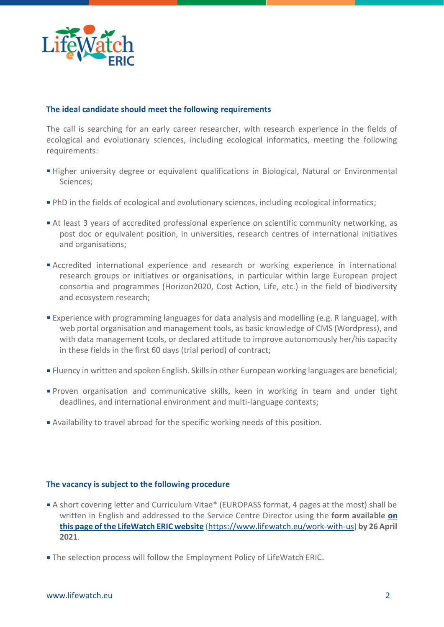

## **The ideal candidate should meet the following requirements**

The call is searching for an early career researcher, with research experience in the fields of ecological and evolutionary sciences, including ecological informatics, meeting the following requirements:

- **Higher university degree or equivalent qualifications in Biological, Natural or Environmental** Sciences;
- PhD in the fields of ecological and evolutionary sciences, including ecological informatics;
- At least 3 years of accredited professional experience on scientific community networking, as post doc or equivalent position, in universities, research centres of international initiatives and organisations;
- Accredited international experience and research or working experience in international research groups or initiatives or organisations, in particular within large European project consortia and programmes (Horizon2020, Cost Action, Life, etc.) in the field of biodiversity and ecosystem research;
- Experience with programming languages for data analysis and modelling (e.g. R language), with web portal organisation and management tools, as basic knowledge of CMS (Wordpress), and with data management tools, or declared attitude to improve autonomously her/his capacity in these fields in the first 60 days (trial period) of contract;
- Fluency in written and spoken English. Skills in other European working languages are beneficial;
- Proven organisation and communicative skills, keen in working in team and under tight deadlines, and international environment and multi-language contexts;
- Availability to travel abroad for the specific working needs of this position.

#### **The vacancy is subject to the following procedure**

- A short covering letter and Curriculum Vitae\* (EUROPASS format, 4 pages at the most) shall be written in English and addressed to the Service Centre Director using the **form available [on](https://www.lifewatch.eu/work-with-us)  [this page of the LifeWatch ERIC website](https://www.lifewatch.eu/work-with-us)** [\(https://www.lifewatch.eu/work-with-us\)](https://www.lifewatch.eu/work-with-us) **by 26 April 2021**.
- The selection process will follow the Employment Policy of LifeWatch ERIC.